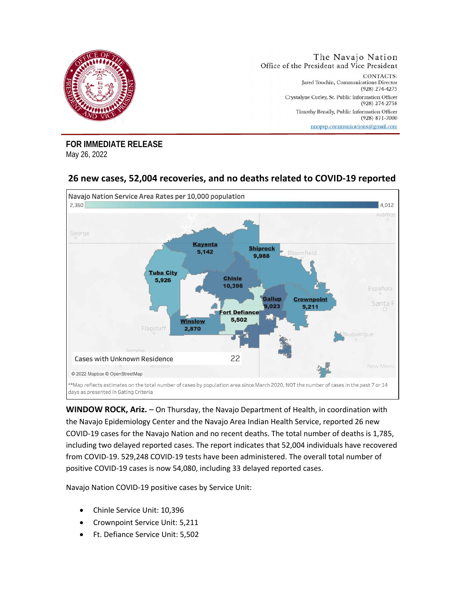

**FOR IMMEDIATE RELEASE**  May 26, 2022

## **26 new cases, 52,004 recoveries, and no deaths related to COVID-19 reported**



**WINDOW ROCK, Ariz.** – On Thursday, the Navajo Department of Health, in coordination with the Navajo Epidemiology Center and the Navajo Area Indian Health Service, reported 26 new COVID-19 cases for the Navajo Nation and no recent deaths. The total number of deaths is 1,785, including two delayed reported cases. The report indicates that 52,004 individuals have recovered from COVID-19. 529,248 COVID-19 tests have been administered. The overall total number of positive COVID-19 cases is now 54,080, including 33 delayed reported cases.

Navajo Nation COVID-19 positive cases by Service Unit:

- Chinle Service Unit: 10,396
- Crownpoint Service Unit: 5,211
- Ft. Defiance Service Unit: 5,502